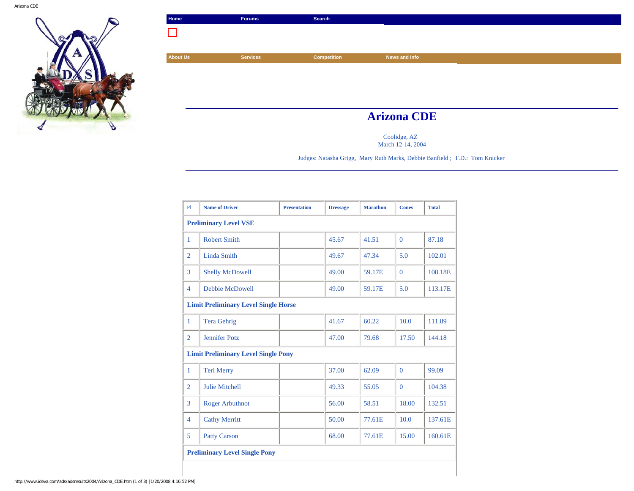

| Home            | <b>Forums</b>      | Search      |               |  |  |
|-----------------|--------------------|-------------|---------------|--|--|
|                 |                    |             |               |  |  |
|                 |                    |             |               |  |  |
| <b>About Us</b> | <b>Services</b>    | Competition | News and Info |  |  |
|                 |                    |             |               |  |  |
|                 |                    |             |               |  |  |
|                 |                    |             |               |  |  |
|                 |                    |             |               |  |  |
|                 | <b>Arizona CDE</b> |             |               |  |  |

Coolidge, AZ March 12-14, 2004

Judges: Natasha Grigg, Mary Ruth Marks, Debbie Banfield ; T.D.: Tom Knicker

| P1             | <b>Name of Driver</b>                       | <b>Presentation</b> | <b>Dressage</b> | <b>Marathon</b> | <b>Cones</b> | <b>Total</b> |  |  |  |
|----------------|---------------------------------------------|---------------------|-----------------|-----------------|--------------|--------------|--|--|--|
|                | <b>Preliminary Level VSE</b>                |                     |                 |                 |              |              |  |  |  |
| 1              | <b>Robert Smith</b>                         |                     | 45.67           | 41.51           | $\Omega$     | 87.18        |  |  |  |
| $\overline{2}$ | <b>Linda Smith</b>                          |                     | 49.67           | 47.34           | 5.0          | 102.01       |  |  |  |
| 3              | <b>Shelly McDowell</b>                      |                     | 49.00           | 59.17E          | $\Omega$     | 108.18E      |  |  |  |
| $\overline{4}$ | Debbie McDowell                             |                     | 49.00           | 59.17E          | 5.0          | 113.17E      |  |  |  |
|                | <b>Limit Preliminary Level Single Horse</b> |                     |                 |                 |              |              |  |  |  |
| 1              | <b>Tera Gehrig</b>                          |                     | 41.67           | 60.22           | 10.0         | 111.89       |  |  |  |
| $\overline{2}$ | <b>Jennifer Potz</b>                        |                     | 47.00           | 79.68           | 17.50        | 144.18       |  |  |  |
|                | <b>Limit Preliminary Level Single Pony</b>  |                     |                 |                 |              |              |  |  |  |
| $\mathbf{1}$   | <b>Teri Merry</b>                           |                     | 37.00           | 62.09           | $\Omega$     | 99.09        |  |  |  |
| $\overline{2}$ | <b>Julie Mitchell</b>                       |                     | 49.33           | 55.05           | $\theta$     | 104.38       |  |  |  |
| 3              | <b>Roger Arbuthnot</b>                      |                     | 56.00           | 58.51           | 18.00        | 132.51       |  |  |  |
| $\overline{4}$ | <b>Cathy Merritt</b>                        |                     | 50.00           | 77.61E          | 10.0         | 137.61E      |  |  |  |
| 5              | <b>Patty Carson</b>                         |                     | 68.00           | 77.61E          | 15.00        | 160.61E      |  |  |  |
|                | <b>Preliminary Level Single Pony</b>        |                     |                 |                 |              |              |  |  |  |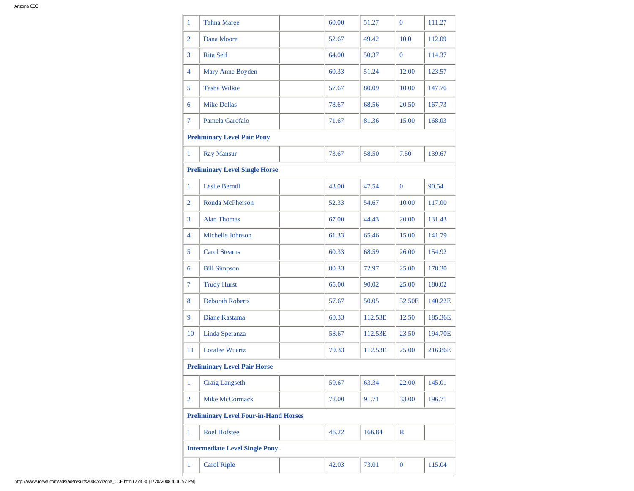| 1                                            | <b>Tahna Maree</b>                  |  | 60.00 | 51.27   | $\overline{0}$ | 111.27  |  |  |
|----------------------------------------------|-------------------------------------|--|-------|---------|----------------|---------|--|--|
| $\overline{2}$                               | Dana Moore                          |  | 52.67 | 49.42   | 10.0           | 112.09  |  |  |
| 3                                            | <b>Rita Self</b>                    |  | 64.00 | 50.37   | $\mathbf{0}$   | 114.37  |  |  |
| 4                                            | Mary Anne Boyden                    |  | 60.33 | 51.24   | 12.00          | 123.57  |  |  |
| 5                                            | <b>Tasha Wilkie</b>                 |  | 57.67 | 80.09   | 10.00          | 147.76  |  |  |
| 6                                            | <b>Mike Dellas</b>                  |  | 78.67 | 68.56   | 20.50          | 167.73  |  |  |
| 7                                            | Pamela Garofalo                     |  | 71.67 | 81.36   | 15.00          | 168.03  |  |  |
|                                              | <b>Preliminary Level Pair Pony</b>  |  |       |         |                |         |  |  |
| $\mathbf{1}$                                 | <b>Ray Mansur</b>                   |  | 73.67 | 58.50   | 7.50           | 139.67  |  |  |
| <b>Preliminary Level Single Horse</b>        |                                     |  |       |         |                |         |  |  |
| $\mathbf{1}$                                 | Leslie Berndl                       |  | 43.00 | 47.54   | $\overline{0}$ | 90.54   |  |  |
| $\overline{2}$                               | Ronda McPherson                     |  | 52.33 | 54.67   | 10.00          | 117.00  |  |  |
| 3                                            | <b>Alan Thomas</b>                  |  | 67.00 | 44.43   | 20.00          | 131.43  |  |  |
| 4                                            | Michelle Johnson                    |  | 61.33 | 65.46   | 15.00          | 141.79  |  |  |
| 5                                            | <b>Carol Stearns</b>                |  | 60.33 | 68.59   | 26.00          | 154.92  |  |  |
| 6                                            | <b>Bill Simpson</b>                 |  | 80.33 | 72.97   | 25.00          | 178.30  |  |  |
| 7                                            | <b>Trudy Hurst</b>                  |  | 65.00 | 90.02   | 25.00          | 180.02  |  |  |
| 8                                            | <b>Deborah Roberts</b>              |  | 57.67 | 50.05   | 32.50E         | 140.22E |  |  |
| 9                                            | Diane Kastama                       |  | 60.33 | 112.53E | 12.50          | 185.36E |  |  |
| 10                                           | Linda Speranza                      |  | 58.67 | 112.53E | 23.50          | 194.70E |  |  |
| 11                                           | <b>Loralee Wuertz</b>               |  | 79.33 | 112.53E | 25.00          | 216.86E |  |  |
|                                              | <b>Preliminary Level Pair Horse</b> |  |       |         |                |         |  |  |
| $\mathbf{1}$                                 | <b>Craig Langseth</b>               |  | 59.67 | 63.34   | 22.00          | 145.01  |  |  |
| $\overline{2}$                               | <b>Mike McCormack</b>               |  | 72.00 | 91.71   | 33.00          | 196.71  |  |  |
| <b>Preliminary Level Four-in-Hand Horses</b> |                                     |  |       |         |                |         |  |  |
| $\mathbf{1}$                                 | <b>Roel Hofstee</b>                 |  | 46.22 | 166.84  | R              |         |  |  |
| <b>Intermediate Level Single Pony</b>        |                                     |  |       |         |                |         |  |  |
| 1                                            | <b>Carol Riple</b>                  |  | 42.03 | 73.01   | $\mathbf{0}$   | 115.04  |  |  |
|                                              |                                     |  |       |         |                |         |  |  |